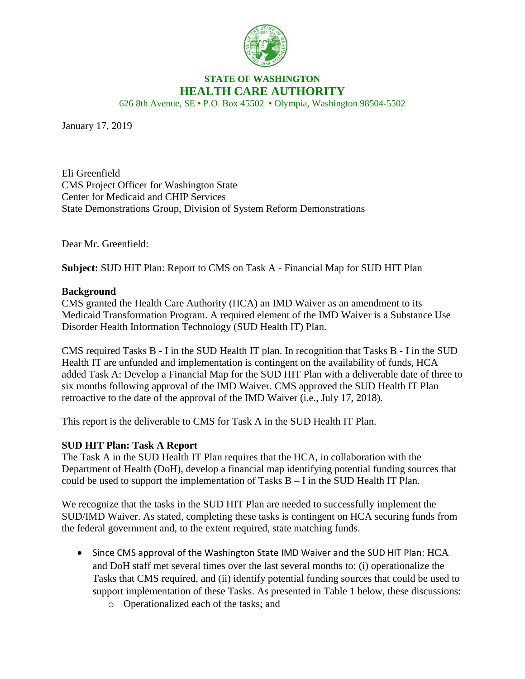

# **STATE OF WASHINGTON HEALTH CARE AUTHORITY**

626 8th Avenue, SE • P.O. Box 45502 • Olympia, Washington 98504-5502

January 17, 2019

Eli Greenfield CMS Project Officer for Washington State Center for Medicaid and CHIP Services State Demonstrations Group, Division of System Reform Demonstrations

Dear Mr. Greenfield:

**Subject:** SUD HIT Plan: Report to CMS on Task A - Financial Map for SUD HIT Plan

### **Background**

CMS granted the Health Care Authority (HCA) an IMD Waiver as an amendment to its Medicaid Transformation Program. A required element of the IMD Waiver is a Substance Use Disorder Health Information Technology (SUD Health IT) Plan.

CMS required Tasks B - I in the SUD Health IT plan. In recognition that Tasks B - I in the SUD Health IT are unfunded and implementation is contingent on the availability of funds, HCA added Task A: Develop a Financial Map for the SUD HIT Plan with a deliverable date of three to six months following approval of the IMD Waiver. CMS approved the SUD Health IT Plan retroactive to the date of the approval of the IMD Waiver (i.e., July 17, 2018).

This report is the deliverable to CMS for Task A in the SUD Health IT Plan.

## **SUD HIT Plan: Task A Report**

The Task A in the SUD Health IT Plan requires that the HCA, in collaboration with the Department of Health (DoH), develop a financial map identifying potential funding sources that could be used to support the implementation of Tasks B – I in the SUD Health IT Plan.

We recognize that the tasks in the SUD HIT Plan are needed to successfully implement the SUD/IMD Waiver. As stated, completing these tasks is contingent on HCA securing funds from the federal government and, to the extent required, state matching funds.

- Since CMS approval of the Washington State IMD Waiver and the SUD HIT Plan: HCA and DoH staff met several times over the last several months to: (i) operationalize the Tasks that CMS required, and (ii) identify potential funding sources that could be used to support implementation of these Tasks. As presented in Table 1 below, these discussions:
	- o Operationalized each of the tasks; and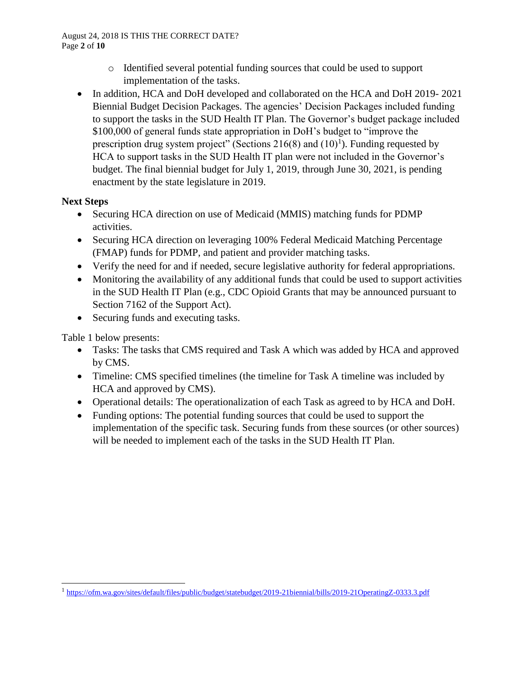#### August 24, 2018 IS THIS THE CORRECT DATE? Page **2** of **10**

- o Identified several potential funding sources that could be used to support implementation of the tasks.
- In addition, HCA and DoH developed and collaborated on the HCA and DoH 2019-2021 Biennial Budget Decision Packages. The agencies' Decision Packages included funding to support the tasks in the SUD Health IT Plan. The Governor's budget package included \$100,000 of general funds state appropriation in DoH's budget to "improve the prescription drug system project" (Sections  $216(8)$  and  $(10)^1$ ). Funding requested by HCA to support tasks in the SUD Health IT plan were not included in the Governor's budget. The final biennial budget for July 1, 2019, through June 30, 2021, is pending enactment by the state legislature in 2019.

## **Next Steps**

- Securing HCA direction on use of Medicaid (MMIS) matching funds for PDMP activities.
- Securing HCA direction on leveraging 100% Federal Medicaid Matching Percentage (FMAP) funds for PDMP, and patient and provider matching tasks.
- Verify the need for and if needed, secure legislative authority for federal appropriations.
- Monitoring the availability of any additional funds that could be used to support activities in the SUD Health IT Plan (e.g., CDC Opioid Grants that may be announced pursuant to Section 7162 of the Support Act).
- Securing funds and executing tasks.

Table 1 below presents:

 $\overline{a}$ 

- Tasks: The tasks that CMS required and Task A which was added by HCA and approved by CMS.
- Timeline: CMS specified timelines (the timeline for Task A timeline was included by HCA and approved by CMS).
- Operational details: The operationalization of each Task as agreed to by HCA and DoH.
- Funding options: The potential funding sources that could be used to support the implementation of the specific task. Securing funds from these sources (or other sources) will be needed to implement each of the tasks in the SUD Health IT Plan.

<sup>&</sup>lt;sup>1</sup> <https://ofm.wa.gov/sites/default/files/public/budget/statebudget/2019-21biennial/bills/2019-21OperatingZ-0333.3.pdf>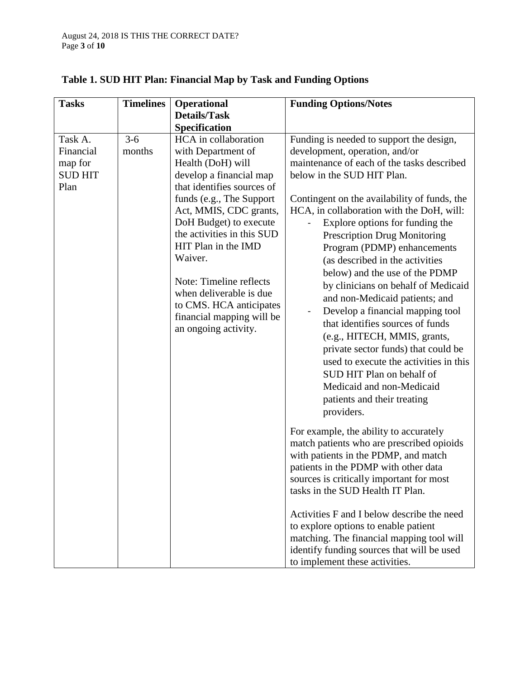| <b>Tasks</b>                                              | <b>Timelines</b>  | <b>Operational</b>                                                                                                                                                                                                                                                                                                                                                                                             | <b>Funding Options/Notes</b>                                                                                                                                                                                                                                                                                                                                                                                                                                                                                                                                                                                                                                                                                                                                                                                                                                                                                                                                                                                                                                                                                                                            |
|-----------------------------------------------------------|-------------------|----------------------------------------------------------------------------------------------------------------------------------------------------------------------------------------------------------------------------------------------------------------------------------------------------------------------------------------------------------------------------------------------------------------|---------------------------------------------------------------------------------------------------------------------------------------------------------------------------------------------------------------------------------------------------------------------------------------------------------------------------------------------------------------------------------------------------------------------------------------------------------------------------------------------------------------------------------------------------------------------------------------------------------------------------------------------------------------------------------------------------------------------------------------------------------------------------------------------------------------------------------------------------------------------------------------------------------------------------------------------------------------------------------------------------------------------------------------------------------------------------------------------------------------------------------------------------------|
|                                                           |                   | <b>Details/Task</b>                                                                                                                                                                                                                                                                                                                                                                                            |                                                                                                                                                                                                                                                                                                                                                                                                                                                                                                                                                                                                                                                                                                                                                                                                                                                                                                                                                                                                                                                                                                                                                         |
|                                                           |                   | Specification                                                                                                                                                                                                                                                                                                                                                                                                  |                                                                                                                                                                                                                                                                                                                                                                                                                                                                                                                                                                                                                                                                                                                                                                                                                                                                                                                                                                                                                                                                                                                                                         |
| Task A.<br>Financial<br>map for<br><b>SUD HIT</b><br>Plan | $3 - 6$<br>months | HCA in collaboration<br>with Department of<br>Health (DoH) will<br>develop a financial map<br>that identifies sources of<br>funds (e.g., The Support<br>Act, MMIS, CDC grants,<br>DoH Budget) to execute<br>the activities in this SUD<br>HIT Plan in the IMD<br>Waiver.<br>Note: Timeline reflects<br>when deliverable is due<br>to CMS. HCA anticipates<br>financial mapping will be<br>an ongoing activity. | Funding is needed to support the design,<br>development, operation, and/or<br>maintenance of each of the tasks described<br>below in the SUD HIT Plan.<br>Contingent on the availability of funds, the<br>HCA, in collaboration with the DoH, will:<br>Explore options for funding the<br><b>Prescription Drug Monitoring</b><br>Program (PDMP) enhancements<br>(as described in the activities<br>below) and the use of the PDMP<br>by clinicians on behalf of Medicaid<br>and non-Medicaid patients; and<br>Develop a financial mapping tool<br>that identifies sources of funds<br>(e.g., HITECH, MMIS, grants,<br>private sector funds) that could be<br>used to execute the activities in this<br>SUD HIT Plan on behalf of<br>Medicaid and non-Medicaid<br>patients and their treating<br>providers.<br>For example, the ability to accurately<br>match patients who are prescribed opioids<br>with patients in the PDMP, and match<br>patients in the PDMP with other data<br>sources is critically important for most<br>tasks in the SUD Health IT Plan.<br>Activities F and I below describe the need<br>to explore options to enable patient |
|                                                           |                   |                                                                                                                                                                                                                                                                                                                                                                                                                | matching. The financial mapping tool will<br>identify funding sources that will be used                                                                                                                                                                                                                                                                                                                                                                                                                                                                                                                                                                                                                                                                                                                                                                                                                                                                                                                                                                                                                                                                 |
|                                                           |                   |                                                                                                                                                                                                                                                                                                                                                                                                                | to implement these activities.                                                                                                                                                                                                                                                                                                                                                                                                                                                                                                                                                                                                                                                                                                                                                                                                                                                                                                                                                                                                                                                                                                                          |

# **Table 1. SUD HIT Plan: Financial Map by Task and Funding Options**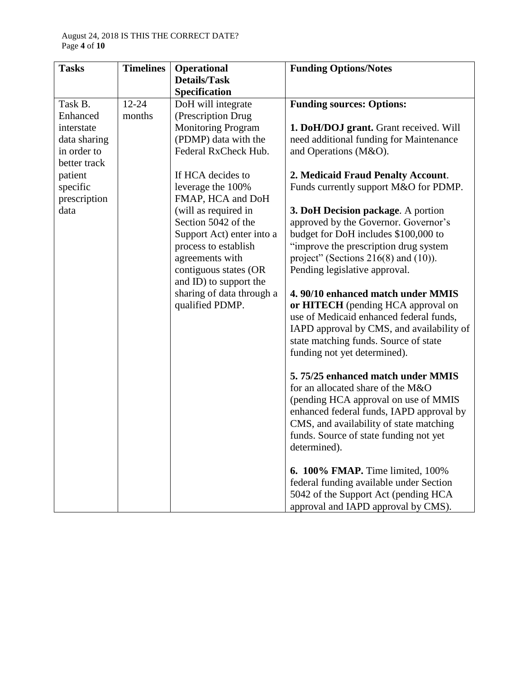| <b>Tasks</b> | <b>Timelines</b> | <b>Operational</b>                                  | <b>Funding Options/Notes</b>                                           |
|--------------|------------------|-----------------------------------------------------|------------------------------------------------------------------------|
|              |                  | <b>Details/Task</b>                                 |                                                                        |
| Task B.      | $12 - 24$        | Specification                                       |                                                                        |
| Enhanced     | months           | DoH will integrate<br>(Prescription Drug            | <b>Funding sources: Options:</b>                                       |
| interstate   |                  | <b>Monitoring Program</b>                           | 1. DoH/DOJ grant. Grant received. Will                                 |
| data sharing |                  | (PDMP) data with the                                | need additional funding for Maintenance                                |
| in order to  |                  | Federal RxCheck Hub.                                | and Operations (M&O).                                                  |
| better track |                  |                                                     |                                                                        |
| patient      |                  | If HCA decides to                                   | 2. Medicaid Fraud Penalty Account.                                     |
| specific     |                  | leverage the 100%                                   | Funds currently support M&O for PDMP.                                  |
| prescription |                  | FMAP, HCA and DoH                                   |                                                                        |
| data         |                  | (will as required in                                | 3. DoH Decision package. A portion                                     |
|              |                  | Section 5042 of the                                 | approved by the Governor. Governor's                                   |
|              |                  | Support Act) enter into a                           | budget for DoH includes \$100,000 to                                   |
|              |                  | process to establish                                | "improve the prescription drug system                                  |
|              |                  | agreements with                                     | project" (Sections $216(8)$ and $(10)$ ).                              |
|              |                  | contiguous states (OR                               | Pending legislative approval.                                          |
|              |                  | and ID) to support the<br>sharing of data through a | 4.90/10 enhanced match under MMIS                                      |
|              |                  | qualified PDMP.                                     | or HITECH (pending HCA approval on                                     |
|              |                  |                                                     | use of Medicaid enhanced federal funds,                                |
|              |                  |                                                     | IAPD approval by CMS, and availability of                              |
|              |                  |                                                     | state matching funds. Source of state                                  |
|              |                  |                                                     | funding not yet determined).                                           |
|              |                  |                                                     |                                                                        |
|              |                  |                                                     | 5.75/25 enhanced match under MMIS<br>for an allocated share of the M&O |
|              |                  |                                                     | (pending HCA approval on use of MMIS                                   |
|              |                  |                                                     | enhanced federal funds, IAPD approval by                               |
|              |                  |                                                     | CMS, and availability of state matching                                |
|              |                  |                                                     | funds. Source of state funding not yet                                 |
|              |                  |                                                     | determined).                                                           |
|              |                  |                                                     | <b>6. 100% FMAP.</b> Time limited, 100%                                |
|              |                  |                                                     | federal funding available under Section                                |
|              |                  |                                                     | 5042 of the Support Act (pending HCA                                   |
|              |                  |                                                     | approval and IAPD approval by CMS).                                    |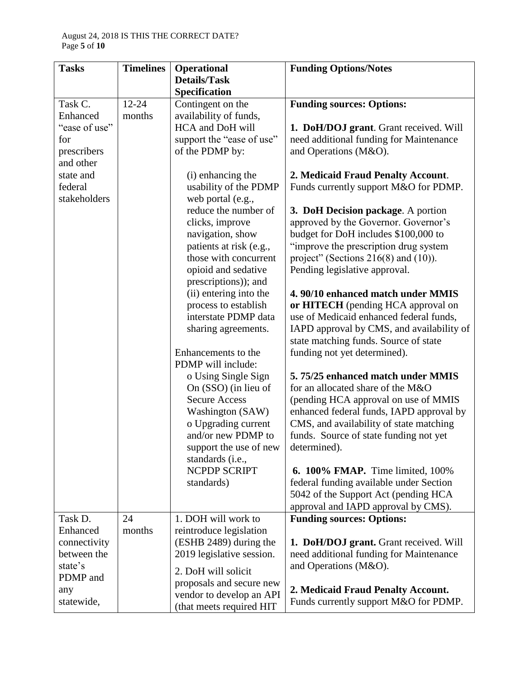| <b>Tasks</b>  | <b>Timelines</b> | <b>Operational</b>        | <b>Funding Options/Notes</b>              |
|---------------|------------------|---------------------------|-------------------------------------------|
|               |                  | <b>Details/Task</b>       |                                           |
|               |                  | Specification             |                                           |
| Task C.       | $12 - 24$        | Contingent on the         | <b>Funding sources: Options:</b>          |
| Enhanced      | months           | availability of funds,    |                                           |
| "ease of use" |                  | HCA and DoH will          | 1. DoH/DOJ grant. Grant received. Will    |
| for           |                  | support the "ease of use" | need additional funding for Maintenance   |
| prescribers   |                  | of the PDMP by:           | and Operations (M&O).                     |
| and other     |                  |                           |                                           |
| state and     |                  | (i) enhancing the         | 2. Medicaid Fraud Penalty Account.        |
| federal       |                  | usability of the PDMP     | Funds currently support M&O for PDMP.     |
| stakeholders  |                  | web portal (e.g.,         |                                           |
|               |                  | reduce the number of      | 3. DoH Decision package. A portion        |
|               |                  | clicks, improve           | approved by the Governor. Governor's      |
|               |                  | navigation, show          | budget for DoH includes \$100,000 to      |
|               |                  | patients at risk (e.g.,   | "improve the prescription drug system     |
|               |                  | those with concurrent     | project" (Sections $216(8)$ and $(10)$ ). |
|               |                  | opioid and sedative       | Pending legislative approval.             |
|               |                  | prescriptions)); and      |                                           |
|               |                  | (ii) entering into the    | 4.90/10 enhanced match under MMIS         |
|               |                  | process to establish      | or HITECH (pending HCA approval on        |
|               |                  | interstate PDMP data      | use of Medicaid enhanced federal funds,   |
|               |                  | sharing agreements.       | IAPD approval by CMS, and availability of |
|               |                  |                           | state matching funds. Source of state     |
|               |                  | Enhancements to the       | funding not yet determined).              |
|               |                  | PDMP will include:        |                                           |
|               |                  | o Using Single Sign       | 5.75/25 enhanced match under MMIS         |
|               |                  | On (SSO) (in lieu of      | for an allocated share of the M&O         |
|               |                  | <b>Secure Access</b>      | (pending HCA approval on use of MMIS      |
|               |                  | <b>Washington (SAW)</b>   | enhanced federal funds, IAPD approval by  |
|               |                  | o Upgrading current       | CMS, and availability of state matching   |
|               |                  | and/or new PDMP to        | funds. Source of state funding not yet    |
|               |                  | support the use of new    | determined).                              |
|               |                  | standards (i.e.,          |                                           |
|               |                  | NCPDP SCRIPT              | <b>6. 100% FMAP.</b> Time limited, 100%   |
|               |                  | standards)                | federal funding available under Section   |
|               |                  |                           | 5042 of the Support Act (pending HCA      |
|               |                  |                           | approval and IAPD approval by CMS).       |
| Task D.       | 24               | 1. DOH will work to       | <b>Funding sources: Options:</b>          |
| Enhanced      | months           | reintroduce legislation   |                                           |
| connectivity  |                  | (ESHB 2489) during the    | 1. DoH/DOJ grant. Grant received. Will    |
| between the   |                  | 2019 legislative session. | need additional funding for Maintenance   |
| state's       |                  |                           | and Operations (M&O).                     |
| PDMP and      |                  | 2. DoH will solicit       |                                           |
|               |                  | proposals and secure new  |                                           |
| any           |                  | vendor to develop an API  | 2. Medicaid Fraud Penalty Account.        |
| statewide,    |                  | (that meets required HIT  | Funds currently support M&O for PDMP.     |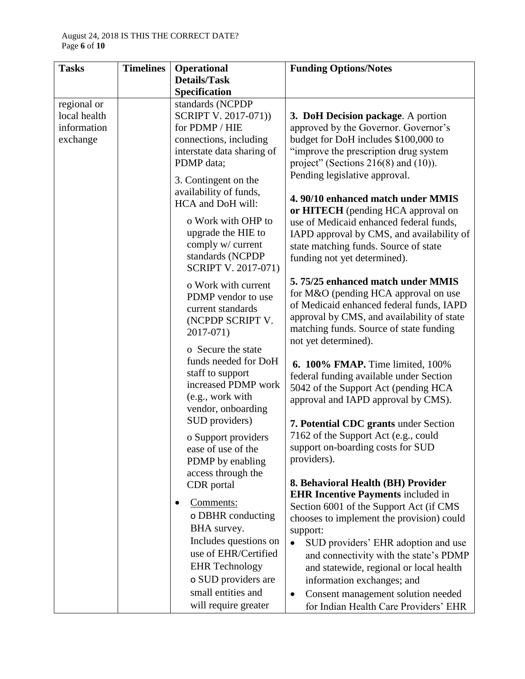| <b>Tasks</b> | <b>Timelines</b> | <b>Operational</b>                      | <b>Funding Options/Notes</b>                          |
|--------------|------------------|-----------------------------------------|-------------------------------------------------------|
|              |                  | <b>Details/Task</b>                     |                                                       |
|              |                  | Specification                           |                                                       |
| regional or  |                  | standards (NCPDP                        |                                                       |
| local health |                  | SCRIPT V. 2017-071))                    | 3. DoH Decision package. A portion                    |
| information  |                  | for PDMP / HIE                          | approved by the Governor. Governor's                  |
| exchange     |                  | connections, including                  | budget for DoH includes \$100,000 to                  |
|              |                  | interstate data sharing of              | "improve the prescription drug system                 |
|              |                  | PDMP data;                              | project" (Sections $216(8)$ and $(10)$ ).             |
|              |                  | 3. Contingent on the                    | Pending legislative approval.                         |
|              |                  | availability of funds,                  |                                                       |
|              |                  | HCA and DoH will:                       | 4.90/10 enhanced match under MMIS                     |
|              |                  | o Work with OHP to                      | or HITECH (pending HCA approval on                    |
|              |                  |                                         | use of Medicaid enhanced federal funds,               |
|              |                  | upgrade the HIE to<br>comply w/ current | IAPD approval by CMS, and availability of             |
|              |                  | standards (NCPDP                        | state matching funds. Source of state                 |
|              |                  | <b>SCRIPT V. 2017-071)</b>              | funding not yet determined).                          |
|              |                  |                                         | 5.75/25 enhanced match under MMIS                     |
|              |                  | o Work with current                     | for M&O (pending HCA approval on use                  |
|              |                  | PDMP vendor to use                      | of Medicaid enhanced federal funds, IAPD              |
|              |                  | current standards                       | approval by CMS, and availability of state            |
|              |                  | (NCPDP SCRIPT V.                        | matching funds. Source of state funding               |
|              |                  | 2017-071)                               | not yet determined).                                  |
|              |                  | o Secure the state                      |                                                       |
|              |                  | funds needed for DoH                    | <b>6. 100% FMAP.</b> Time limited, 100%               |
|              |                  | staff to support                        | federal funding available under Section               |
|              |                  | increased PDMP work                     | 5042 of the Support Act (pending HCA                  |
|              |                  | (e.g., work with                        | approval and IAPD approval by CMS).                   |
|              |                  | vendor, onboarding                      |                                                       |
|              |                  | SUD providers)                          | 7. Potential CDC grants under Section                 |
|              |                  | o Support providers                     | 7162 of the Support Act (e.g., could                  |
|              |                  | ease of use of the                      | support on-boarding costs for SUD                     |
|              |                  | PDMP by enabling                        | providers).                                           |
|              |                  | access through the                      |                                                       |
|              |                  | CDR portal                              | 8. Behavioral Health (BH) Provider                    |
|              |                  | Comments:                               | <b>EHR Incentive Payments included in</b>             |
|              |                  | o DBHR conducting                       | Section 6001 of the Support Act (if CMS               |
|              |                  | BHA survey.                             | chooses to implement the provision) could<br>support: |
|              |                  | Includes questions on                   | SUD providers' EHR adoption and use<br>$\bullet$      |
|              |                  | use of EHR/Certified                    | and connectivity with the state's PDMP                |
|              |                  | <b>EHR</b> Technology                   | and statewide, regional or local health               |
|              |                  | o SUD providers are                     | information exchanges; and                            |
|              |                  | small entities and                      |                                                       |
|              |                  |                                         | Consent management solution needed<br>$\bullet$       |
|              |                  | will require greater                    | for Indian Health Care Providers' EHR                 |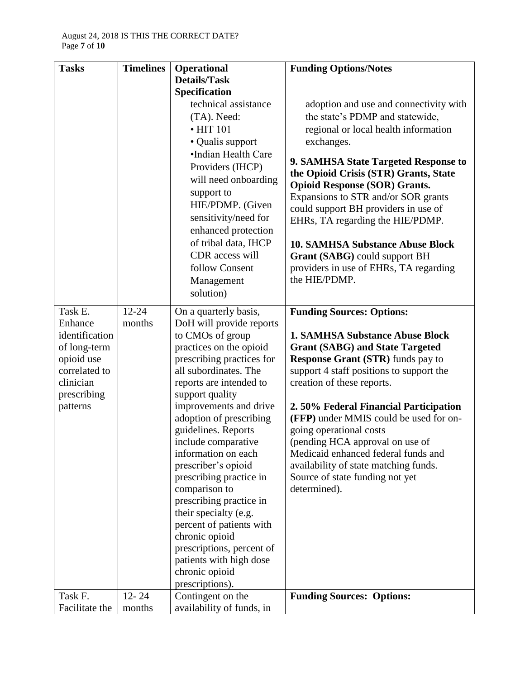| <b>Tasks</b>                                                                                                     | <b>Timelines</b> | <b>Operational</b>                                                                                                                                                                                                                                                                    | <b>Funding Options/Notes</b>                                                                                                                                                                                                                                                                                                                                                    |
|------------------------------------------------------------------------------------------------------------------|------------------|---------------------------------------------------------------------------------------------------------------------------------------------------------------------------------------------------------------------------------------------------------------------------------------|---------------------------------------------------------------------------------------------------------------------------------------------------------------------------------------------------------------------------------------------------------------------------------------------------------------------------------------------------------------------------------|
|                                                                                                                  |                  | <b>Details/Task</b>                                                                                                                                                                                                                                                                   |                                                                                                                                                                                                                                                                                                                                                                                 |
|                                                                                                                  |                  | Specification                                                                                                                                                                                                                                                                         |                                                                                                                                                                                                                                                                                                                                                                                 |
|                                                                                                                  |                  | technical assistance                                                                                                                                                                                                                                                                  | adoption and use and connectivity with                                                                                                                                                                                                                                                                                                                                          |
|                                                                                                                  |                  | (TA). Need:                                                                                                                                                                                                                                                                           | the state's PDMP and statewide,                                                                                                                                                                                                                                                                                                                                                 |
|                                                                                                                  |                  | $\cdot$ HIT 101                                                                                                                                                                                                                                                                       | regional or local health information                                                                                                                                                                                                                                                                                                                                            |
|                                                                                                                  |                  | • Qualis support                                                                                                                                                                                                                                                                      | exchanges.                                                                                                                                                                                                                                                                                                                                                                      |
|                                                                                                                  |                  | •Indian Health Care<br>Providers (IHCP)<br>will need onboarding<br>support to<br>HIE/PDMP. (Given<br>sensitivity/need for<br>enhanced protection<br>of tribal data, IHCP<br>CDR access will<br>follow Consent                                                                         | 9. SAMHSA State Targeted Response to<br>the Opioid Crisis (STR) Grants, State<br><b>Opioid Response (SOR) Grants.</b><br>Expansions to STR and/or SOR grants<br>could support BH providers in use of<br>EHRs, TA regarding the HIE/PDMP.<br><b>10. SAMHSA Substance Abuse Block</b><br>Grant (SABG) could support BH<br>providers in use of EHRs, TA regarding<br>the HIE/PDMP. |
|                                                                                                                  |                  | Management<br>solution)                                                                                                                                                                                                                                                               |                                                                                                                                                                                                                                                                                                                                                                                 |
|                                                                                                                  |                  |                                                                                                                                                                                                                                                                                       |                                                                                                                                                                                                                                                                                                                                                                                 |
| Task E.                                                                                                          | $12 - 24$        | On a quarterly basis,                                                                                                                                                                                                                                                                 | <b>Funding Sources: Options:</b>                                                                                                                                                                                                                                                                                                                                                |
| Enhance<br>identification<br>of long-term<br>opioid use<br>correlated to<br>clinician<br>prescribing<br>patterns | months           | DoH will provide reports<br>to CMOs of group<br>practices on the opioid<br>prescribing practices for<br>all subordinates. The<br>reports are intended to<br>support quality<br>improvements and drive                                                                                 | <b>1. SAMHSA Substance Abuse Block</b><br><b>Grant (SABG) and State Targeted</b><br><b>Response Grant (STR)</b> funds pay to<br>support 4 staff positions to support the<br>creation of these reports.<br>2.50% Federal Financial Participation                                                                                                                                 |
|                                                                                                                  |                  | adoption of prescribing<br>guidelines. Reports                                                                                                                                                                                                                                        | (FFP) under MMIS could be used for on-<br>going operational costs                                                                                                                                                                                                                                                                                                               |
|                                                                                                                  |                  | include comparative                                                                                                                                                                                                                                                                   | (pending HCA approval on use of                                                                                                                                                                                                                                                                                                                                                 |
|                                                                                                                  |                  | information on each<br>prescriber's opioid<br>prescribing practice in<br>comparison to<br>prescribing practice in<br>their specialty (e.g.<br>percent of patients with<br>chronic opioid<br>prescriptions, percent of<br>patients with high dose<br>chronic opioid<br>prescriptions). | Medicaid enhanced federal funds and<br>availability of state matching funds.<br>Source of state funding not yet<br>determined).                                                                                                                                                                                                                                                 |
| Task F.                                                                                                          | $12 - 24$        | Contingent on the                                                                                                                                                                                                                                                                     | <b>Funding Sources: Options:</b>                                                                                                                                                                                                                                                                                                                                                |
| Facilitate the                                                                                                   | months           | availability of funds, in                                                                                                                                                                                                                                                             |                                                                                                                                                                                                                                                                                                                                                                                 |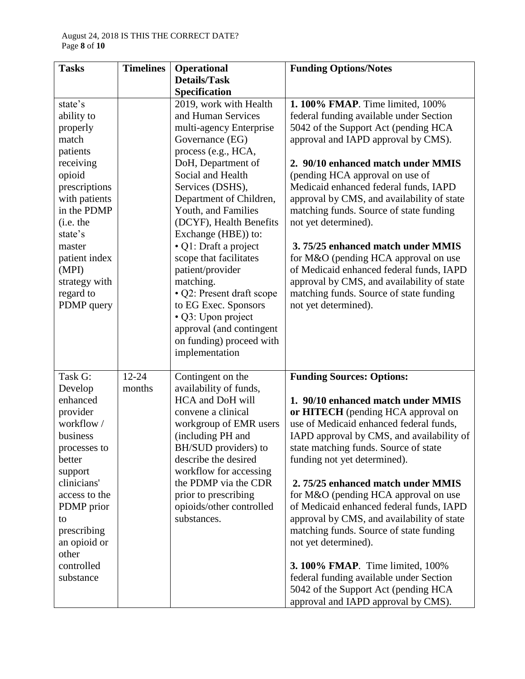| <b>Tasks</b>                 | <b>Timelines</b> | <b>Operational</b>                                | <b>Funding Options/Notes</b>                                                          |
|------------------------------|------------------|---------------------------------------------------|---------------------------------------------------------------------------------------|
|                              |                  | <b>Details/Task</b>                               |                                                                                       |
|                              |                  | Specification                                     |                                                                                       |
| state's                      |                  | 2019, work with Health                            | 1.100% FMAP. Time limited, 100%                                                       |
| ability to                   |                  | and Human Services                                | federal funding available under Section                                               |
| properly                     |                  | multi-agency Enterprise                           | 5042 of the Support Act (pending HCA                                                  |
| match                        |                  | Governance (EG)                                   | approval and IAPD approval by CMS).                                                   |
| patients                     |                  | process (e.g., HCA,                               |                                                                                       |
| receiving                    |                  | DoH, Department of                                | 2. 90/10 enhanced match under MMIS                                                    |
| opioid                       |                  | Social and Health                                 | (pending HCA approval on use of                                                       |
| prescriptions                |                  | Services (DSHS),                                  | Medicaid enhanced federal funds, IAPD                                                 |
| with patients<br>in the PDMP |                  | Department of Children,<br>Youth, and Families    | approval by CMS, and availability of state<br>matching funds. Source of state funding |
| (i.e. the                    |                  | (DCYF), Health Benefits                           | not yet determined).                                                                  |
| state's                      |                  | Exchange (HBE)) to:                               |                                                                                       |
| master                       |                  | · Q1: Draft a project                             | 3.75/25 enhanced match under MMIS                                                     |
| patient index                |                  | scope that facilitates                            | for M&O (pending HCA approval on use                                                  |
| (MPI)                        |                  | patient/provider                                  | of Medicaid enhanced federal funds, IAPD                                              |
| strategy with                |                  | matching.                                         | approval by CMS, and availability of state                                            |
| regard to                    |                  | • Q2: Present draft scope                         | matching funds. Source of state funding                                               |
| PDMP query                   |                  | to EG Exec. Sponsors                              | not yet determined).                                                                  |
|                              |                  | · Q3: Upon project                                |                                                                                       |
|                              |                  | approval (and contingent                          |                                                                                       |
|                              |                  | on funding) proceed with                          |                                                                                       |
|                              |                  | implementation                                    |                                                                                       |
|                              |                  |                                                   |                                                                                       |
| Task G:                      | $12 - 24$        | Contingent on the                                 | <b>Funding Sources: Options:</b>                                                      |
| Develop                      | months           | availability of funds,<br><b>HCA</b> and DoH will | 1. 90/10 enhanced match under MMIS                                                    |
| enhanced<br>provider         |                  | convene a clinical                                | or HITECH (pending HCA approval on                                                    |
| workflow/                    |                  | workgroup of EMR users                            | use of Medicaid enhanced federal funds,                                               |
| business                     |                  | (including PH and                                 | IAPD approval by CMS, and availability of                                             |
| processes to                 |                  | BH/SUD providers) to                              | state matching funds. Source of state                                                 |
| better                       |                  | describe the desired                              | funding not yet determined).                                                          |
| support                      |                  | workflow for accessing                            |                                                                                       |
| clinicians'                  |                  | the PDMP via the CDR                              | 2.75/25 enhanced match under MMIS                                                     |
| access to the                |                  | prior to prescribing                              | for M&O (pending HCA approval on use                                                  |
| PDMP prior                   |                  | opioids/other controlled                          | of Medicaid enhanced federal funds, IAPD                                              |
| to                           |                  | substances.                                       | approval by CMS, and availability of state                                            |
| prescribing                  |                  |                                                   | matching funds. Source of state funding                                               |
| an opioid or                 |                  |                                                   | not yet determined).                                                                  |
| other                        |                  |                                                   |                                                                                       |
| controlled                   |                  |                                                   | <b>3.100% FMAP.</b> Time limited, 100%                                                |
| substance                    |                  |                                                   | federal funding available under Section                                               |
|                              |                  |                                                   | 5042 of the Support Act (pending HCA                                                  |
|                              |                  |                                                   | approval and IAPD approval by CMS).                                                   |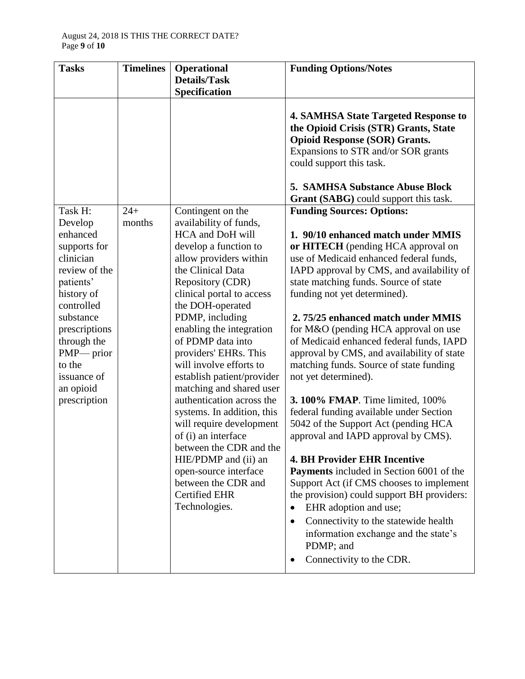| <b>Tasks</b>                                                                                                                                                                                                                | <b>Timelines</b> | <b>Operational</b>                                                                                                                                                                                                                                                                                                                                                                                                                                                                                                                                                                                                           | <b>Funding Options/Notes</b>                                                                                                                                                                                                                                                                                                                                                                                                                                                                                                                                                                                                                                                                                                                                                                                                                                                                                                                                                                                                  |
|-----------------------------------------------------------------------------------------------------------------------------------------------------------------------------------------------------------------------------|------------------|------------------------------------------------------------------------------------------------------------------------------------------------------------------------------------------------------------------------------------------------------------------------------------------------------------------------------------------------------------------------------------------------------------------------------------------------------------------------------------------------------------------------------------------------------------------------------------------------------------------------------|-------------------------------------------------------------------------------------------------------------------------------------------------------------------------------------------------------------------------------------------------------------------------------------------------------------------------------------------------------------------------------------------------------------------------------------------------------------------------------------------------------------------------------------------------------------------------------------------------------------------------------------------------------------------------------------------------------------------------------------------------------------------------------------------------------------------------------------------------------------------------------------------------------------------------------------------------------------------------------------------------------------------------------|
|                                                                                                                                                                                                                             |                  | <b>Details/Task</b>                                                                                                                                                                                                                                                                                                                                                                                                                                                                                                                                                                                                          |                                                                                                                                                                                                                                                                                                                                                                                                                                                                                                                                                                                                                                                                                                                                                                                                                                                                                                                                                                                                                               |
|                                                                                                                                                                                                                             |                  | Specification                                                                                                                                                                                                                                                                                                                                                                                                                                                                                                                                                                                                                |                                                                                                                                                                                                                                                                                                                                                                                                                                                                                                                                                                                                                                                                                                                                                                                                                                                                                                                                                                                                                               |
|                                                                                                                                                                                                                             |                  |                                                                                                                                                                                                                                                                                                                                                                                                                                                                                                                                                                                                                              | <b>4. SAMHSA State Targeted Response to</b><br>the Opioid Crisis (STR) Grants, State<br><b>Opioid Response (SOR) Grants.</b><br>Expansions to STR and/or SOR grants<br>could support this task.<br><b>5. SAMHSA Substance Abuse Block</b><br><b>Grant (SABG)</b> could support this task.                                                                                                                                                                                                                                                                                                                                                                                                                                                                                                                                                                                                                                                                                                                                     |
| Task H:                                                                                                                                                                                                                     | $24+$            | Contingent on the                                                                                                                                                                                                                                                                                                                                                                                                                                                                                                                                                                                                            | <b>Funding Sources: Options:</b>                                                                                                                                                                                                                                                                                                                                                                                                                                                                                                                                                                                                                                                                                                                                                                                                                                                                                                                                                                                              |
| Develop<br>enhanced<br>supports for<br>clinician<br>review of the<br>patients'<br>history of<br>controlled<br>substance<br>prescriptions<br>through the<br>PMP— prior<br>to the<br>issuance of<br>an opioid<br>prescription | months           | availability of funds,<br>HCA and DoH will<br>develop a function to<br>allow providers within<br>the Clinical Data<br>Repository (CDR)<br>clinical portal to access<br>the DOH-operated<br>PDMP, including<br>enabling the integration<br>of PDMP data into<br>providers' EHRs. This<br>will involve efforts to<br>establish patient/provider<br>matching and shared user<br>authentication across the<br>systems. In addition, this<br>will require development<br>of (i) an interface<br>between the CDR and the<br>HIE/PDMP and (ii) an<br>open-source interface<br>between the CDR and<br>Certified EHR<br>Technologies. | 1. 90/10 enhanced match under MMIS<br>or HITECH (pending HCA approval on<br>use of Medicaid enhanced federal funds,<br>IAPD approval by CMS, and availability of<br>state matching funds. Source of state<br>funding not yet determined).<br>2.75/25 enhanced match under MMIS<br>for M&O (pending HCA approval on use<br>of Medicaid enhanced federal funds, IAPD<br>approval by CMS, and availability of state<br>matching funds. Source of state funding<br>not yet determined).<br><b>3.100% FMAP.</b> Time limited, 100%<br>federal funding available under Section<br>5042 of the Support Act (pending HCA<br>approval and IAPD approval by CMS).<br><b>4. BH Provider EHR Incentive</b><br>Payments included in Section 6001 of the<br>Support Act (if CMS chooses to implement<br>the provision) could support BH providers:<br>EHR adoption and use;<br>$\bullet$<br>Connectivity to the statewide health<br>$\bullet$<br>information exchange and the state's<br>PDMP; and<br>Connectivity to the CDR.<br>$\bullet$ |